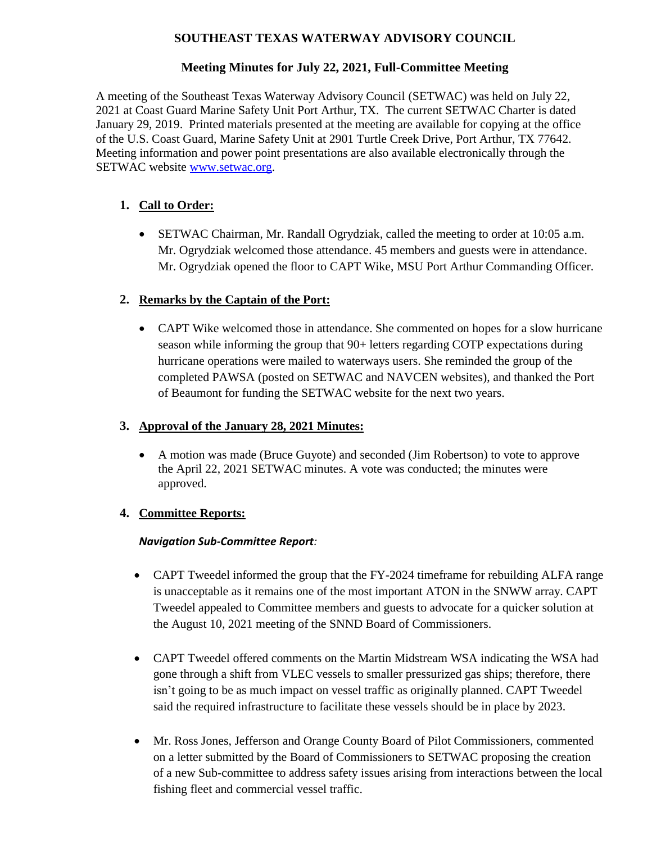## **SOUTHEAST TEXAS WATERWAY ADVISORY COUNCIL**

# **Meeting Minutes for July 22, 2021, Full-Committee Meeting**

A meeting of the Southeast Texas Waterway Advisory Council (SETWAC) was held on July 22, 2021 at Coast Guard Marine Safety Unit Port Arthur, TX. The current SETWAC Charter is dated January 29, 2019. Printed materials presented at the meeting are available for copying at the office of the U.S. Coast Guard, Marine Safety Unit at 2901 Turtle Creek Drive, Port Arthur, TX 77642. Meeting information and power point presentations are also available electronically through the SETWAC website **www.setwac.org.** 

# **1. Call to Order:**

 SETWAC Chairman, Mr. Randall Ogrydziak, called the meeting to order at 10:05 a.m. Mr. Ogrydziak welcomed those attendance. 45 members and guests were in attendance. Mr. Ogrydziak opened the floor to CAPT Wike, MSU Port Arthur Commanding Officer.

# **2. Remarks by the Captain of the Port:**

 CAPT Wike welcomed those in attendance. She commented on hopes for a slow hurricane season while informing the group that 90+ letters regarding COTP expectations during hurricane operations were mailed to waterways users. She reminded the group of the completed PAWSA (posted on SETWAC and NAVCEN websites), and thanked the Port of Beaumont for funding the SETWAC website for the next two years.

## **3. Approval of the January 28, 2021 Minutes:**

 A motion was made (Bruce Guyote) and seconded (Jim Robertson) to vote to approve the April 22, 2021 SETWAC minutes. A vote was conducted; the minutes were approved.

## **4. Committee Reports:**

### *Navigation Sub-Committee Report:*

- CAPT Tweedel informed the group that the FY-2024 time frame for rebuilding ALFA range is unacceptable as it remains one of the most important ATON in the SNWW array. CAPT Tweedel appealed to Committee members and guests to advocate for a quicker solution at the August 10, 2021 meeting of the SNND Board of Commissioners.
- CAPT Tweedel offered comments on the Martin Midstream WSA indicating the WSA had gone through a shift from VLEC vessels to smaller pressurized gas ships; therefore, there isn't going to be as much impact on vessel traffic as originally planned. CAPT Tweedel said the required infrastructure to facilitate these vessels should be in place by 2023.
- Mr. Ross Jones, Jefferson and Orange County Board of Pilot Commissioners, commented on a letter submitted by the Board of Commissioners to SETWAC proposing the creation of a new Sub-committee to address safety issues arising from interactions between the local fishing fleet and commercial vessel traffic.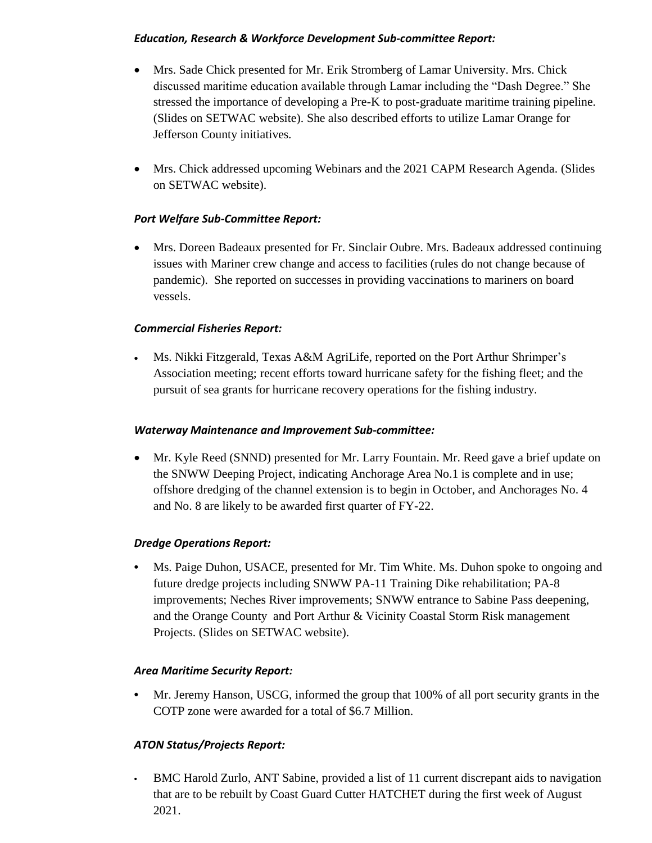### *Education, Research & Workforce Development Sub-committee Report:*

- Mrs. Sade Chick presented for Mr. Erik Stromberg of Lamar University. Mrs. Chick discussed maritime education available through Lamar including the "Dash Degree." She stressed the importance of developing a Pre-K to post-graduate maritime training pipeline. (Slides on SETWAC website). She also described efforts to utilize Lamar Orange for Jefferson County initiatives.
- Mrs. Chick addressed upcoming Webinars and the 2021 CAPM Research Agenda. (Slides on SETWAC website).

### *Port Welfare Sub-Committee Report:*

 Mrs. Doreen Badeaux presented for Fr. Sinclair Oubre. Mrs. Badeaux addressed continuing issues with Mariner crew change and access to facilities (rules do not change because of pandemic). She reported on successes in providing vaccinations to mariners on board vessels.

### *Commercial Fisheries Report:*

 Ms. Nikki Fitzgerald, Texas A&M AgriLife, reported on the Port Arthur Shrimper's Association meeting; recent efforts toward hurricane safety for the fishing fleet; and the pursuit of sea grants for hurricane recovery operations for the fishing industry.

### *Waterway Maintenance and Improvement Sub-committee:*

• Mr. Kyle Reed (SNND) presented for Mr. Larry Fountain. Mr. Reed gave a brief update on the SNWW Deeping Project, indicating Anchorage Area No.1 is complete and in use; offshore dredging of the channel extension is to begin in October, and Anchorages No. 4 and No. 8 are likely to be awarded first quarter of FY-22.

## *Dredge Operations Report:*

• Ms. Paige Duhon, USACE, presented for Mr. Tim White. Ms. Duhon spoke to ongoing and future dredge projects including SNWW PA-11 Training Dike rehabilitation; PA-8 improvements; Neches River improvements; SNWW entrance to Sabine Pass deepening, and the Orange County and Port Arthur & Vicinity Coastal Storm Risk management Projects. (Slides on SETWAC website).

### *Area Maritime Security Report:*

**•** Mr. Jeremy Hanson, USCG, informed the group that 100% of all port security grants in the COTP zone were awarded for a total of \$6.7 Million.

## *ATON Status/Projects Report:*

**•** BMC Harold Zurlo, ANT Sabine, provided a list of 11 current discrepant aids to navigation that are to be rebuilt by Coast Guard Cutter HATCHET during the first week of August 2021.